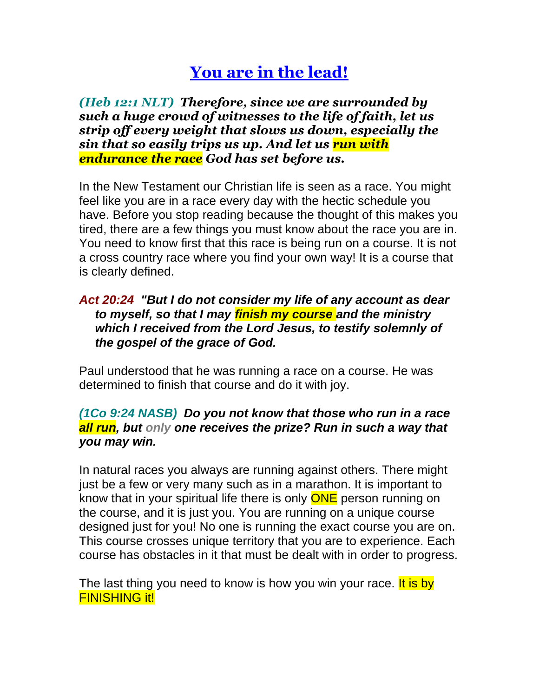## **You are in the lead!**

*(Heb 12:1 NLT) Therefore, since we are surrounded by such a huge crowd of witnesses to the life of faith, let us strip off every weight that slows us down, especially the sin that so easily trips us up. And let us run with endurance the race God has set before us.*

In the New Testament our Christian life is seen as a race. You might feel like you are in a race every day with the hectic schedule you have. Before you stop reading because the thought of this makes you tired, there are a few things you must know about the race you are in. You need to know first that this race is being run on a course. It is not a cross country race where you find your own way! It is a course that is clearly defined.

## *Act 20:24 "But I do not consider my life of any account as dear to myself, so that I may finish my course and the ministry which I received from the Lord Jesus, to testify solemnly of the gospel of the grace of God.*

Paul understood that he was running a race on a course. He was determined to finish that course and do it with joy.

## *(1Co 9:24 NASB) Do you not know that those who run in a race all run, but only one receives the prize? Run in such a way that you may win.*

In natural races you always are running against others. There might just be a few or very many such as in a marathon. It is important to know that in your spiritual life there is only **ONE** person running on the course, and it is just you. You are running on a unique course designed just for you! No one is running the exact course you are on. This course crosses unique territory that you are to experience. Each course has obstacles in it that must be dealt with in order to progress.

The last thing you need to know is how you win your race. It is by **FINISHING it!**